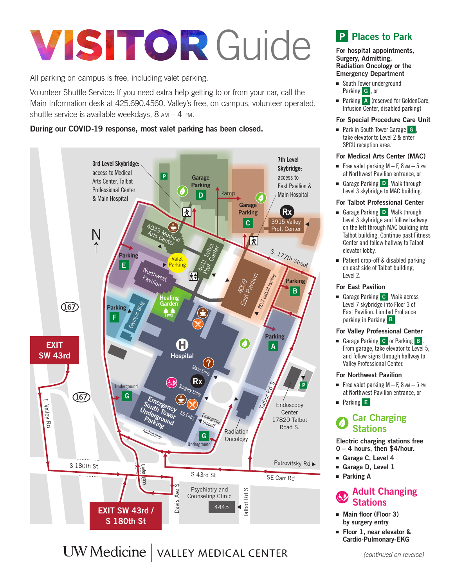# **VISITOR Guide**

All parking on campus is free, including valet parking.

Volunteer Shuttle Service: If you need extra help getting to or from your car, call the Main Information desk at 425.690.4560. Valley's free, on-campus, volunteer-operated, shuttle service is available weekdays,  $8 \text{ am} - 4 \text{ pm}$ .

### During our COVID-19 response, most valet parking has been closed.



# UW Medicine | VALLEY MEDICAL CENTER

# Places to Park

For hospital appointments, Surgery, Admitting, Radiation Oncology or the Emergency Department

- South Tower underground Parking **G**, or
- Parking A (reserved for GoldenCare, Infusion Center, disabled parking)

#### For Special Procedure Care Unit

■ Park in South Tower Garage G, take elevator to Level 2 & enter SPCU reception area.

#### For Medical Arts Center (MAC)

- **Free valet parking M F, 8**  $AM 5$  **PM** at Northwest Pavilion entrance, or
- Garage Parking D. Walk through Level 3 skybridge to MAC building.

#### For Talbot Professional Center

- Garage Parking D. Walk through Level 3 skybridge and follow hallway on the left through MAC building into Talbot building. Continue past Fitness Center and follow hallway to Talbot elevator lobby.
- Patient drop-off & disabled parking on east side of Talbot building, Level 2.

#### For East Pavilion

■ Garage Parking **C** . Walk across Level 7 skybridge into Floor 3 of East Pavilion. Limited Proliance parking in Parking **B**.

#### For Valley Professional Center

■ Garage Parking C or Parking **B** From garage, take elevator to Level 5, and follow signs through hallway to Valley Professional Center.

#### For Northwest Pavilion

- Free valet parking  $M F$ , 8  $AM 5$  PM at Northwest Pavilion entrance, or
- Parking **E**

# Car Charging Stations

Electric charging stations free 0 – 4 hours, then \$4/hour.

- Garage C, Level 4
- Garage D, Level 1
- Parking A

## Adult Changing **Stations**

■ Main floor (Floor 3) by surgery entry

■ Floor 1, near elevator & Cardio-Pulmonary-EKG